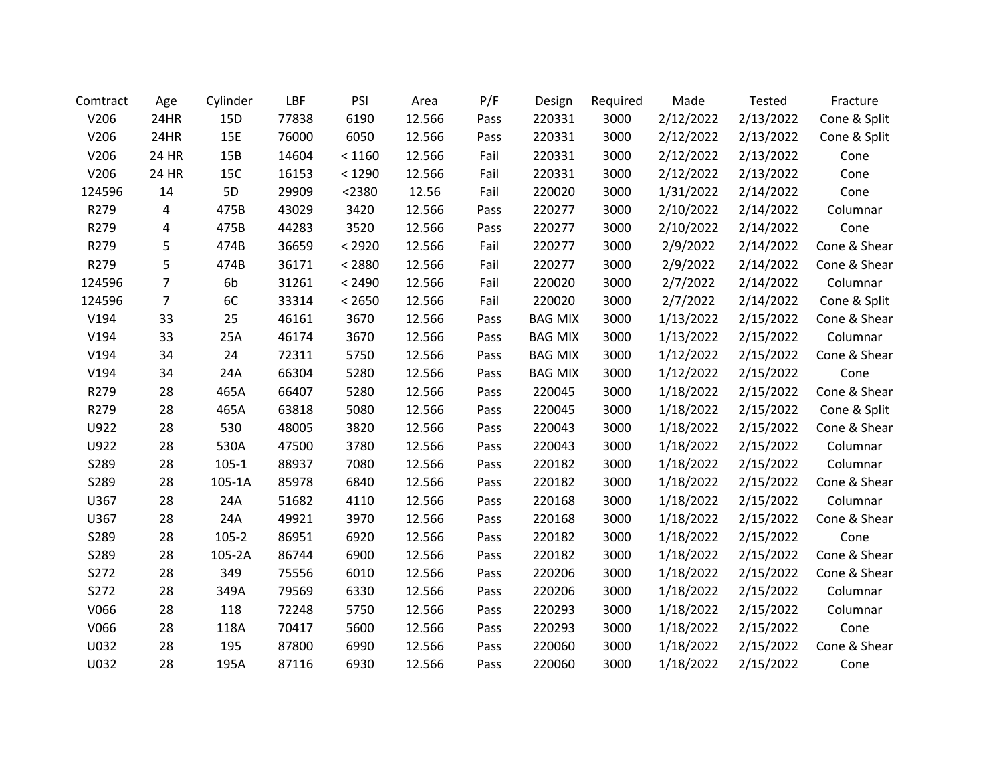| Comtract | Age            | Cylinder  | LBF   | PSI    | Area   | P/F  | Design         | Required | Made      | Tested    | Fracture     |
|----------|----------------|-----------|-------|--------|--------|------|----------------|----------|-----------|-----------|--------------|
| V206     | 24HR           | 15D       | 77838 | 6190   | 12.566 | Pass | 220331         | 3000     | 2/12/2022 | 2/13/2022 | Cone & Split |
| V206     | 24HR           | 15E       | 76000 | 6050   | 12.566 | Pass | 220331         | 3000     | 2/12/2022 | 2/13/2022 | Cone & Split |
| V206     | 24 HR          | 15B       | 14604 | < 1160 | 12.566 | Fail | 220331         | 3000     | 2/12/2022 | 2/13/2022 | Cone         |
| V206     | 24 HR          | 15C       | 16153 | < 1290 | 12.566 | Fail | 220331         | 3000     | 2/12/2022 | 2/13/2022 | Cone         |
| 124596   | 14             | 5D        | 29909 | < 2380 | 12.56  | Fail | 220020         | 3000     | 1/31/2022 | 2/14/2022 | Cone         |
| R279     | 4              | 475B      | 43029 | 3420   | 12.566 | Pass | 220277         | 3000     | 2/10/2022 | 2/14/2022 | Columnar     |
| R279     | 4              | 475B      | 44283 | 3520   | 12.566 | Pass | 220277         | 3000     | 2/10/2022 | 2/14/2022 | Cone         |
| R279     | 5              | 474B      | 36659 | < 2920 | 12.566 | Fail | 220277         | 3000     | 2/9/2022  | 2/14/2022 | Cone & Shear |
| R279     | 5              | 474B      | 36171 | < 2880 | 12.566 | Fail | 220277         | 3000     | 2/9/2022  | 2/14/2022 | Cone & Shear |
| 124596   | $\overline{7}$ | 6b        | 31261 | < 2490 | 12.566 | Fail | 220020         | 3000     | 2/7/2022  | 2/14/2022 | Columnar     |
| 124596   | $\overline{7}$ | 6C        | 33314 | < 2650 | 12.566 | Fail | 220020         | 3000     | 2/7/2022  | 2/14/2022 | Cone & Split |
| V194     | 33             | 25        | 46161 | 3670   | 12.566 | Pass | <b>BAG MIX</b> | 3000     | 1/13/2022 | 2/15/2022 | Cone & Shear |
| V194     | 33             | 25A       | 46174 | 3670   | 12.566 | Pass | <b>BAG MIX</b> | 3000     | 1/13/2022 | 2/15/2022 | Columnar     |
| V194     | 34             | 24        | 72311 | 5750   | 12.566 | Pass | <b>BAG MIX</b> | 3000     | 1/12/2022 | 2/15/2022 | Cone & Shear |
| V194     | 34             | 24A       | 66304 | 5280   | 12.566 | Pass | <b>BAG MIX</b> | 3000     | 1/12/2022 | 2/15/2022 | Cone         |
| R279     | 28             | 465A      | 66407 | 5280   | 12.566 | Pass | 220045         | 3000     | 1/18/2022 | 2/15/2022 | Cone & Shear |
| R279     | 28             | 465A      | 63818 | 5080   | 12.566 | Pass | 220045         | 3000     | 1/18/2022 | 2/15/2022 | Cone & Split |
| U922     | 28             | 530       | 48005 | 3820   | 12.566 | Pass | 220043         | 3000     | 1/18/2022 | 2/15/2022 | Cone & Shear |
| U922     | 28             | 530A      | 47500 | 3780   | 12.566 | Pass | 220043         | 3000     | 1/18/2022 | 2/15/2022 | Columnar     |
| S289     | 28             | $105 - 1$ | 88937 | 7080   | 12.566 | Pass | 220182         | 3000     | 1/18/2022 | 2/15/2022 | Columnar     |
| S289     | 28             | 105-1A    | 85978 | 6840   | 12.566 | Pass | 220182         | 3000     | 1/18/2022 | 2/15/2022 | Cone & Shear |
| U367     | 28             | 24A       | 51682 | 4110   | 12.566 | Pass | 220168         | 3000     | 1/18/2022 | 2/15/2022 | Columnar     |
| U367     | 28             | 24A       | 49921 | 3970   | 12.566 | Pass | 220168         | 3000     | 1/18/2022 | 2/15/2022 | Cone & Shear |
| S289     | 28             | $105 - 2$ | 86951 | 6920   | 12.566 | Pass | 220182         | 3000     | 1/18/2022 | 2/15/2022 | Cone         |
| S289     | 28             | 105-2A    | 86744 | 6900   | 12.566 | Pass | 220182         | 3000     | 1/18/2022 | 2/15/2022 | Cone & Shear |
| S272     | 28             | 349       | 75556 | 6010   | 12.566 | Pass | 220206         | 3000     | 1/18/2022 | 2/15/2022 | Cone & Shear |
| S272     | 28             | 349A      | 79569 | 6330   | 12.566 | Pass | 220206         | 3000     | 1/18/2022 | 2/15/2022 | Columnar     |
| V066     | 28             | 118       | 72248 | 5750   | 12.566 | Pass | 220293         | 3000     | 1/18/2022 | 2/15/2022 | Columnar     |
| V066     | 28             | 118A      | 70417 | 5600   | 12.566 | Pass | 220293         | 3000     | 1/18/2022 | 2/15/2022 | Cone         |
| U032     | 28             | 195       | 87800 | 6990   | 12.566 | Pass | 220060         | 3000     | 1/18/2022 | 2/15/2022 | Cone & Shear |
| U032     | 28             | 195A      | 87116 | 6930   | 12.566 | Pass | 220060         | 3000     | 1/18/2022 | 2/15/2022 | Cone         |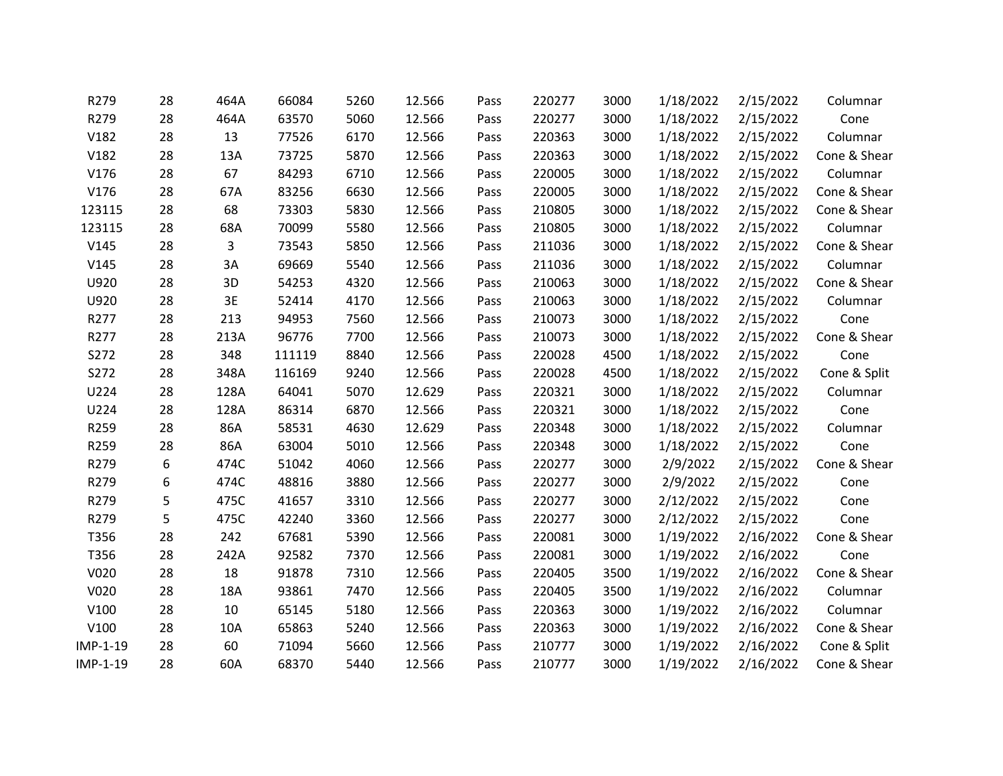| R279     | 28 | 464A | 66084  | 5260 | 12.566 | Pass | 220277 | 3000 | 1/18/2022 | 2/15/2022 | Columnar     |
|----------|----|------|--------|------|--------|------|--------|------|-----------|-----------|--------------|
| R279     | 28 | 464A | 63570  | 5060 | 12.566 | Pass | 220277 | 3000 | 1/18/2022 | 2/15/2022 | Cone         |
| V182     | 28 | 13   | 77526  | 6170 | 12.566 | Pass | 220363 | 3000 | 1/18/2022 | 2/15/2022 | Columnar     |
| V182     | 28 | 13A  | 73725  | 5870 | 12.566 | Pass | 220363 | 3000 | 1/18/2022 | 2/15/2022 | Cone & Shear |
| V176     | 28 | 67   | 84293  | 6710 | 12.566 | Pass | 220005 | 3000 | 1/18/2022 | 2/15/2022 | Columnar     |
| V176     | 28 | 67A  | 83256  | 6630 | 12.566 | Pass | 220005 | 3000 | 1/18/2022 | 2/15/2022 | Cone & Shear |
| 123115   | 28 | 68   | 73303  | 5830 | 12.566 | Pass | 210805 | 3000 | 1/18/2022 | 2/15/2022 | Cone & Shear |
| 123115   | 28 | 68A  | 70099  | 5580 | 12.566 | Pass | 210805 | 3000 | 1/18/2022 | 2/15/2022 | Columnar     |
| V145     | 28 | 3    | 73543  | 5850 | 12.566 | Pass | 211036 | 3000 | 1/18/2022 | 2/15/2022 | Cone & Shear |
| V145     | 28 | 3A   | 69669  | 5540 | 12.566 | Pass | 211036 | 3000 | 1/18/2022 | 2/15/2022 | Columnar     |
| U920     | 28 | 3D   | 54253  | 4320 | 12.566 | Pass | 210063 | 3000 | 1/18/2022 | 2/15/2022 | Cone & Shear |
| U920     | 28 | 3E   | 52414  | 4170 | 12.566 | Pass | 210063 | 3000 | 1/18/2022 | 2/15/2022 | Columnar     |
| R277     | 28 | 213  | 94953  | 7560 | 12.566 | Pass | 210073 | 3000 | 1/18/2022 | 2/15/2022 | Cone         |
| R277     | 28 | 213A | 96776  | 7700 | 12.566 | Pass | 210073 | 3000 | 1/18/2022 | 2/15/2022 | Cone & Shear |
| S272     | 28 | 348  | 111119 | 8840 | 12.566 | Pass | 220028 | 4500 | 1/18/2022 | 2/15/2022 | Cone         |
| S272     | 28 | 348A | 116169 | 9240 | 12.566 | Pass | 220028 | 4500 | 1/18/2022 | 2/15/2022 | Cone & Split |
| U224     | 28 | 128A | 64041  | 5070 | 12.629 | Pass | 220321 | 3000 | 1/18/2022 | 2/15/2022 | Columnar     |
| U224     | 28 | 128A | 86314  | 6870 | 12.566 | Pass | 220321 | 3000 | 1/18/2022 | 2/15/2022 | Cone         |
| R259     | 28 | 86A  | 58531  | 4630 | 12.629 | Pass | 220348 | 3000 | 1/18/2022 | 2/15/2022 | Columnar     |
| R259     | 28 | 86A  | 63004  | 5010 | 12.566 | Pass | 220348 | 3000 | 1/18/2022 | 2/15/2022 | Cone         |
| R279     | 6  | 474C | 51042  | 4060 | 12.566 | Pass | 220277 | 3000 | 2/9/2022  | 2/15/2022 | Cone & Shear |
| R279     | 6  | 474C | 48816  | 3880 | 12.566 | Pass | 220277 | 3000 | 2/9/2022  | 2/15/2022 | Cone         |
| R279     | 5  | 475C | 41657  | 3310 | 12.566 | Pass | 220277 | 3000 | 2/12/2022 | 2/15/2022 | Cone         |
| R279     | 5  | 475C | 42240  | 3360 | 12.566 | Pass | 220277 | 3000 | 2/12/2022 | 2/15/2022 | Cone         |
| T356     | 28 | 242  | 67681  | 5390 | 12.566 | Pass | 220081 | 3000 | 1/19/2022 | 2/16/2022 | Cone & Shear |
| T356     | 28 | 242A | 92582  | 7370 | 12.566 | Pass | 220081 | 3000 | 1/19/2022 | 2/16/2022 | Cone         |
| V020     | 28 | 18   | 91878  | 7310 | 12.566 | Pass | 220405 | 3500 | 1/19/2022 | 2/16/2022 | Cone & Shear |
| V020     | 28 | 18A  | 93861  | 7470 | 12.566 | Pass | 220405 | 3500 | 1/19/2022 | 2/16/2022 | Columnar     |
| V100     | 28 | 10   | 65145  | 5180 | 12.566 | Pass | 220363 | 3000 | 1/19/2022 | 2/16/2022 | Columnar     |
| V100     | 28 | 10A  | 65863  | 5240 | 12.566 | Pass | 220363 | 3000 | 1/19/2022 | 2/16/2022 | Cone & Shear |
| IMP-1-19 | 28 | 60   | 71094  | 5660 | 12.566 | Pass | 210777 | 3000 | 1/19/2022 | 2/16/2022 | Cone & Split |
| IMP-1-19 | 28 | 60A  | 68370  | 5440 | 12.566 | Pass | 210777 | 3000 | 1/19/2022 | 2/16/2022 | Cone & Shear |
|          |    |      |        |      |        |      |        |      |           |           |              |